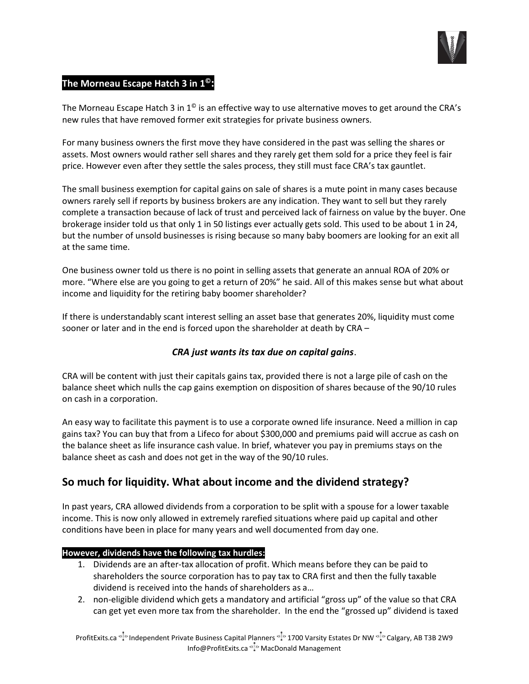

## **The Morneau Escape Hatch 3 in 1©:**

The Morneau Escape Hatch 3 in  $1^\circledcirc$  is an effective way to use alternative moves to get around the CRA's new rules that have removed former exit strategies for private business owners.

For many business owners the first move they have considered in the past was selling the shares or assets. Most owners would rather sell shares and they rarely get them sold for a price they feel is fair price. However even after they settle the sales process, they still must face CRA's tax gauntlet.

The small business exemption for capital gains on sale of shares is a mute point in many cases because owners rarely sell if reports by business brokers are any indication. They want to sell but they rarely complete a transaction because of lack of trust and perceived lack of fairness on value by the buyer. One brokerage insider told us that only 1 in 50 listings ever actually gets sold. This used to be about 1 in 24, but the number of unsold businesses is rising because so many baby boomers are looking for an exit all at the same time.

One business owner told us there is no point in selling assets that generate an annual ROA of 20% or more. "Where else are you going to get a return of 20%" he said. All of this makes sense but what about income and liquidity for the retiring baby boomer shareholder?

If there is understandably scant interest selling an asset base that generates 20%, liquidity must come sooner or later and in the end is forced upon the shareholder at death by CRA –

## *CRA just wants its tax due on capital gains*.

CRA will be content with just their capitals gains tax, provided there is not a large pile of cash on the balance sheet which nulls the cap gains exemption on disposition of shares because of the 90/10 rules on cash in a corporation.

An easy way to facilitate this payment is to use a corporate owned life insurance. Need a million in cap gains tax? You can buy that from a Lifeco for about \$300,000 and premiums paid will accrue as cash on the balance sheet as life insurance cash value. In brief, whatever you pay in premiums stays on the balance sheet as cash and does not get in the way of the 90/10 rules.

# **So much for liquidity. What about income and the dividend strategy?**

In past years, CRA allowed dividends from a corporation to be split with a spouse for a lower taxable income. This is now only allowed in extremely rarefied situations where paid up capital and other conditions have been in place for many years and well documented from day one.

### **However, dividends have the following tax hurdles:**

- 1. Dividends are an after-tax allocation of profit. Which means before they can be paid to shareholders the source corporation has to pay tax to CRA first and then the fully taxable dividend is received into the hands of shareholders as a…
- 2. non-eligible dividend which gets a mandatory and artificial "gross up" of the value so that CRA can get yet even more tax from the shareholder. In the end the "grossed up" dividend is taxed